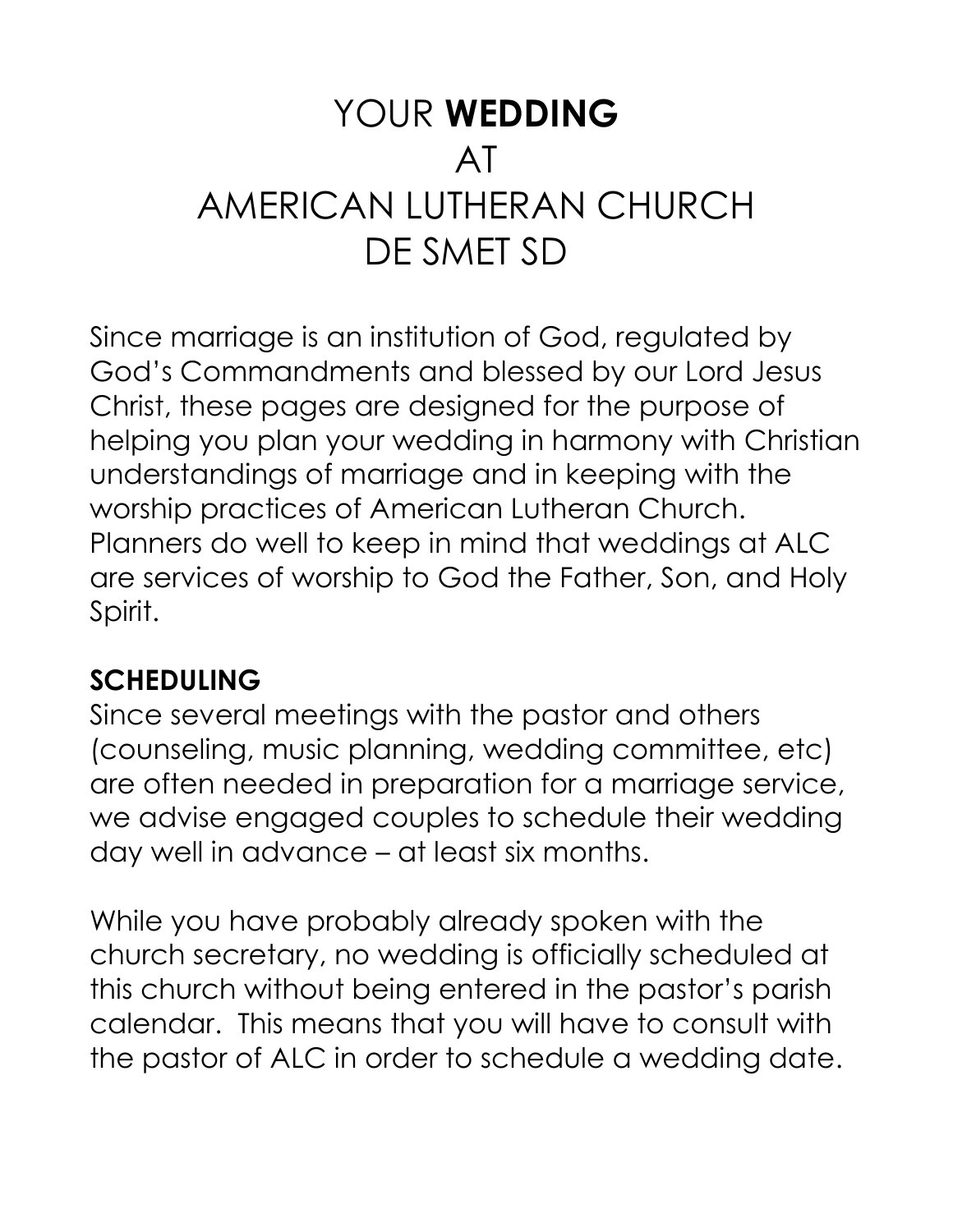# YOUR **WEDDING** AT AMERICAN LUTHERAN CHURCH DE SMET SD

Since marriage is an institution of God, regulated by God's Commandments and blessed by our Lord Jesus Christ, these pages are designed for the purpose of helping you plan your wedding in harmony with Christian understandings of marriage and in keeping with the worship practices of American Lutheran Church. Planners do well to keep in mind that weddings at ALC are services of worship to God the Father, Son, and Holy Spirit.

## **SCHEDULING**

Since several meetings with the pastor and others (counseling, music planning, wedding committee, etc) are often needed in preparation for a marriage service, we advise engaged couples to schedule their wedding day well in advance – at least six months.

While you have probably already spoken with the church secretary, no wedding is officially scheduled at this church without being entered in the pastor's parish calendar. This means that you will have to consult with the pastor of ALC in order to schedule a wedding date.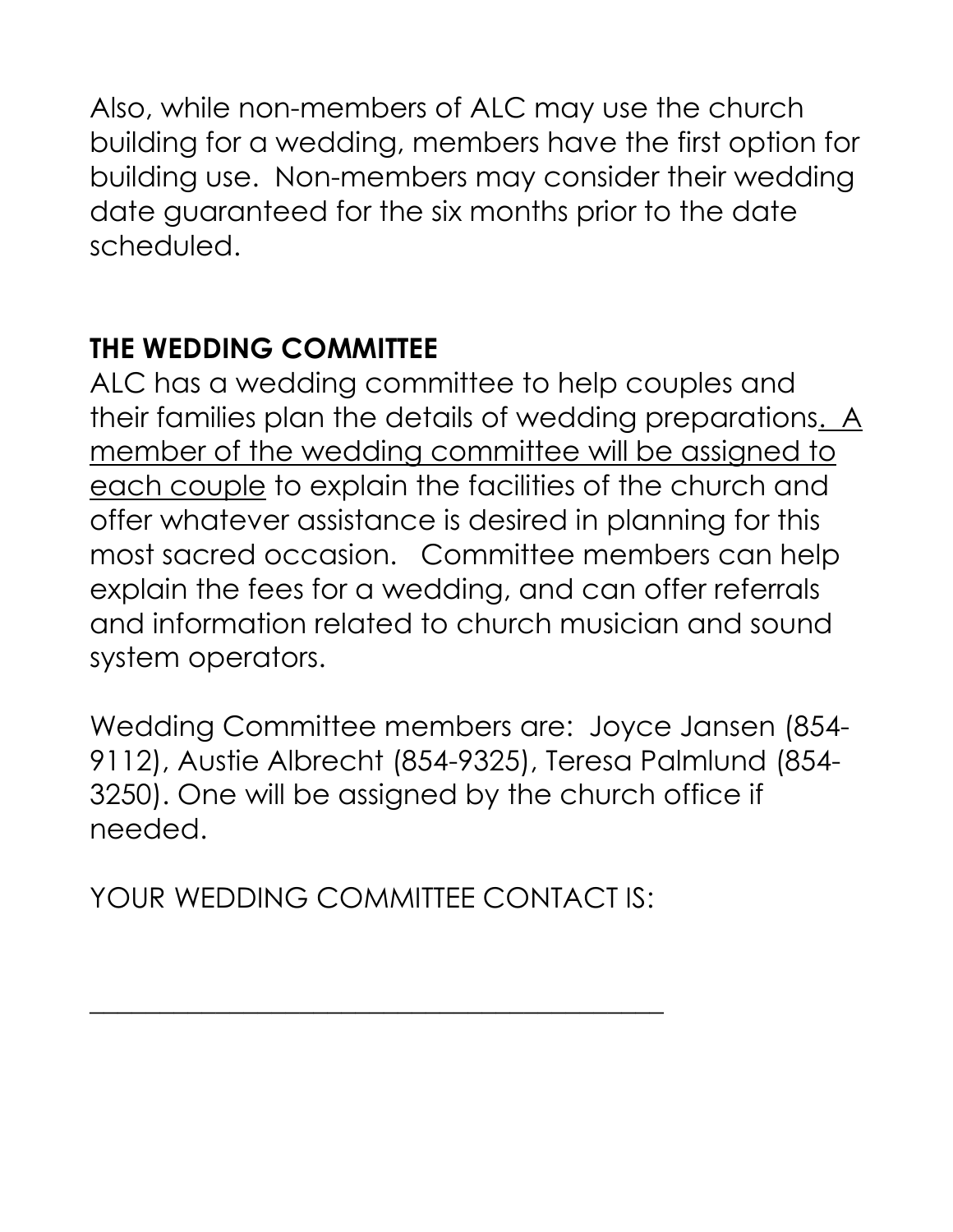Also, while non-members of ALC may use the church building for a wedding, members have the first option for building use. Non-members may consider their wedding date guaranteed for the six months prior to the date scheduled.

#### **THE WEDDING COMMITTEE**

ALC has a wedding committee to help couples and their families plan the details of wedding preparations. A member of the wedding committee will be assigned to each couple to explain the facilities of the church and offer whatever assistance is desired in planning for this most sacred occasion. Committee members can help explain the fees for a wedding, and can offer referrals and information related to church musician and sound system operators.

Wedding Committee members are: Joyce Jansen (854- 9112), Austie Albrecht (854-9325), Teresa Palmlund (854- 3250). One will be assigned by the church office if needed.

YOUR WEDDING COMMITTEE CONTACT IS:

\_\_\_\_\_\_\_\_\_\_\_\_\_\_\_\_\_\_\_\_\_\_\_\_\_\_\_\_\_\_\_\_\_\_\_\_\_\_\_\_\_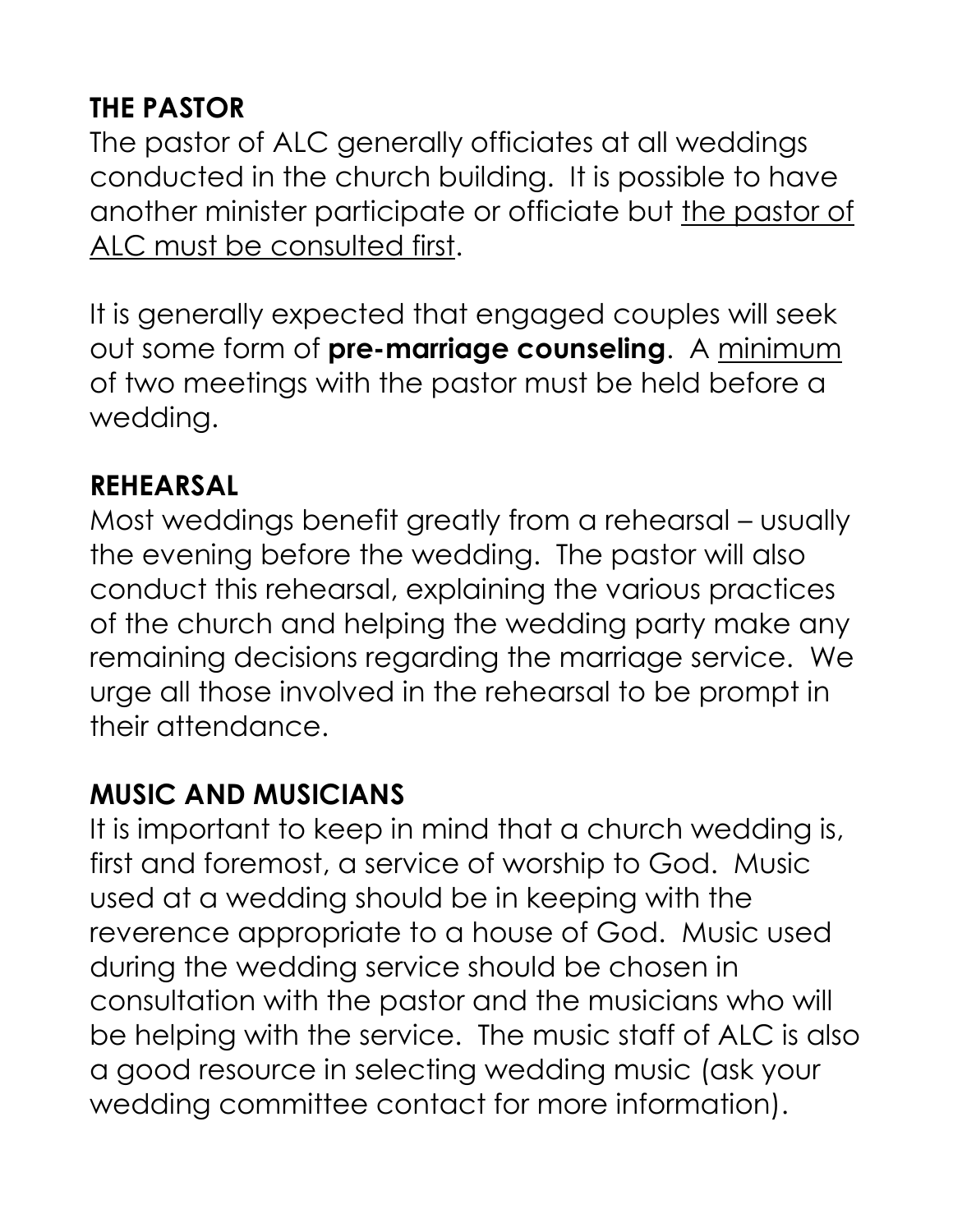# **THE PASTOR**

The pastor of ALC generally officiates at all weddings conducted in the church building. It is possible to have another minister participate or officiate but the pastor of ALC must be consulted first.

It is generally expected that engaged couples will seek out some form of **pre-marriage counseling**. A minimum of two meetings with the pastor must be held before a wedding.

#### **REHEARSAL**

Most weddings benefit greatly from a rehearsal – usually the evening before the wedding. The pastor will also conduct this rehearsal, explaining the various practices of the church and helping the wedding party make any remaining decisions regarding the marriage service. We urge all those involved in the rehearsal to be prompt in their attendance.

#### **MUSIC AND MUSICIANS**

It is important to keep in mind that a church wedding is, first and foremost, a service of worship to God. Music used at a wedding should be in keeping with the reverence appropriate to a house of God. Music used during the wedding service should be chosen in consultation with the pastor and the musicians who will be helping with the service. The music staff of ALC is also a good resource in selecting wedding music (ask your wedding committee contact for more information).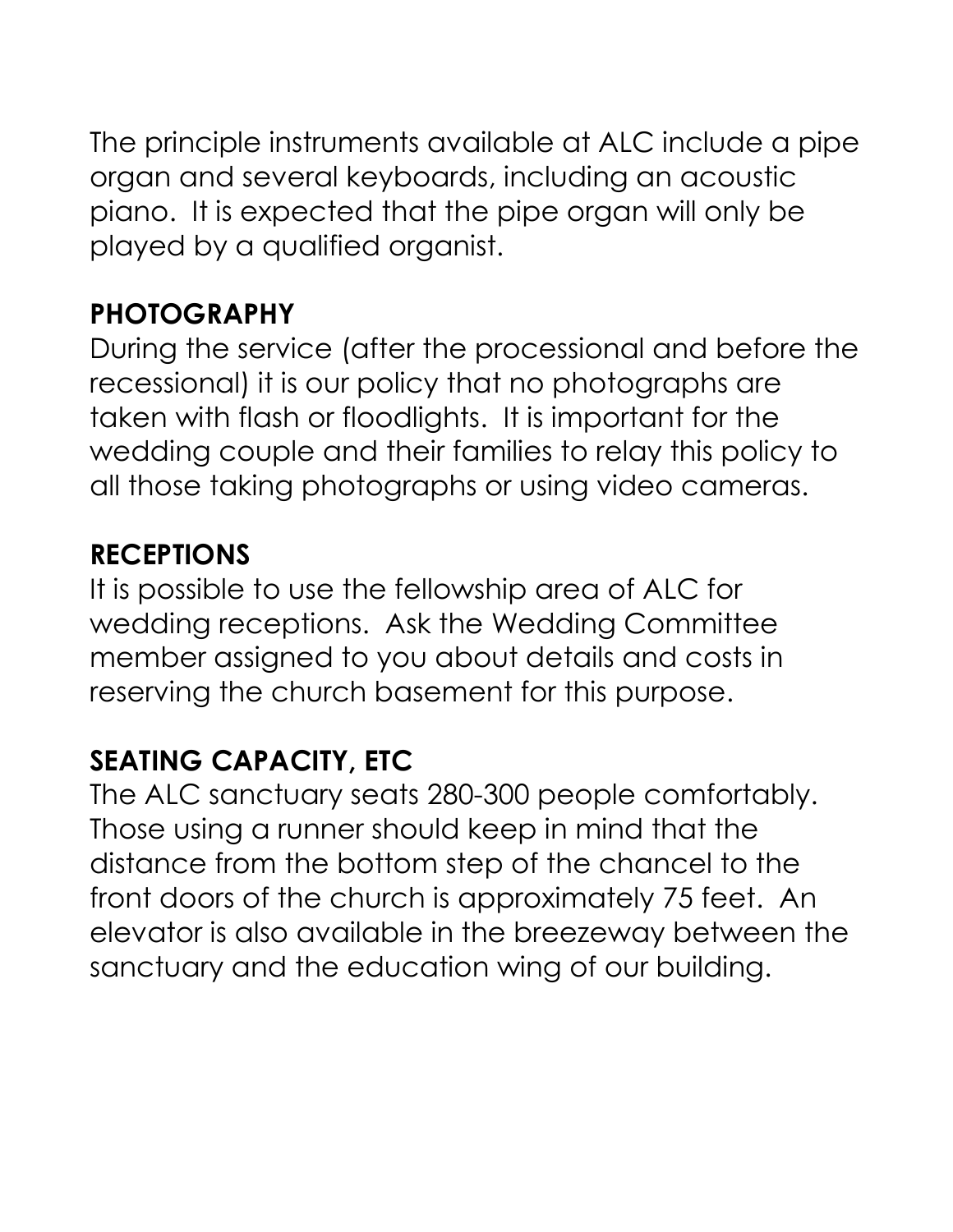The principle instruments available at ALC include a pipe organ and several keyboards, including an acoustic piano. It is expected that the pipe organ will only be played by a qualified organist.

#### **PHOTOGRAPHY**

During the service (after the processional and before the recessional) it is our policy that no photographs are taken with flash or floodlights. It is important for the wedding couple and their families to relay this policy to all those taking photographs or using video cameras.

#### **RECEPTIONS**

It is possible to use the fellowship area of ALC for wedding receptions. Ask the Wedding Committee member assigned to you about details and costs in reserving the church basement for this purpose.

## **SEATING CAPACITY, ETC**

The ALC sanctuary seats 280-300 people comfortably. Those using a runner should keep in mind that the distance from the bottom step of the chancel to the front doors of the church is approximately 75 feet. An elevator is also available in the breezeway between the sanctuary and the education wing of our building.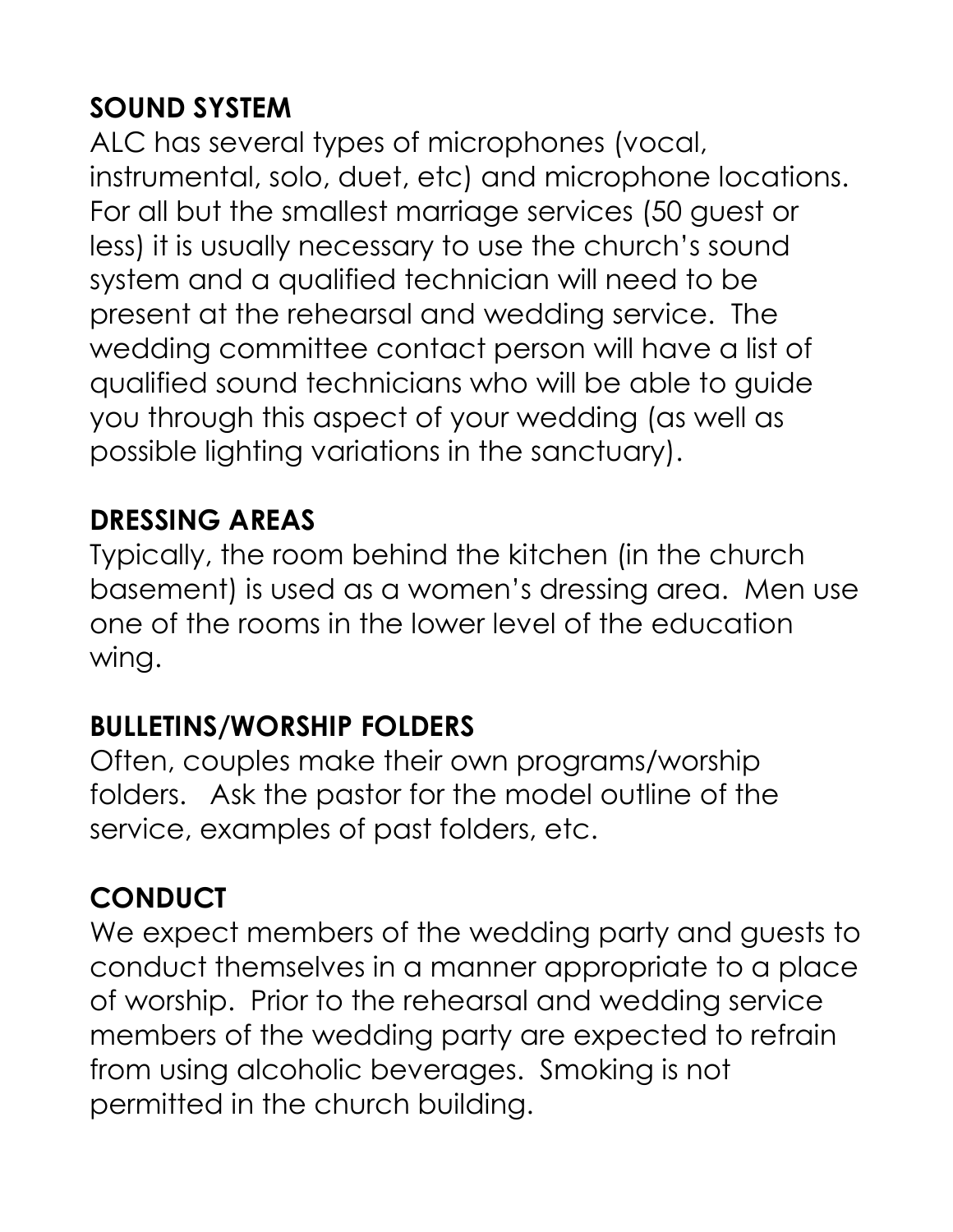# **SOUND SYSTEM**

ALC has several types of microphones (vocal, instrumental, solo, duet, etc) and microphone locations. For all but the smallest marriage services (50 guest or less) it is usually necessary to use the church's sound system and a qualified technician will need to be present at the rehearsal and wedding service. The wedding committee contact person will have a list of qualified sound technicians who will be able to guide you through this aspect of your wedding (as well as possible lighting variations in the sanctuary).

## **DRESSING AREAS**

Typically, the room behind the kitchen (in the church basement) is used as a women's dressing area. Men use one of the rooms in the lower level of the education wing.

## **BULLETINS/WORSHIP FOLDERS**

Often, couples make their own programs/worship folders. Ask the pastor for the model outline of the service, examples of past folders, etc.

## **CONDUCT**

We expect members of the wedding party and guests to conduct themselves in a manner appropriate to a place of worship. Prior to the rehearsal and wedding service members of the wedding party are expected to refrain from using alcoholic beverages. Smoking is not permitted in the church building.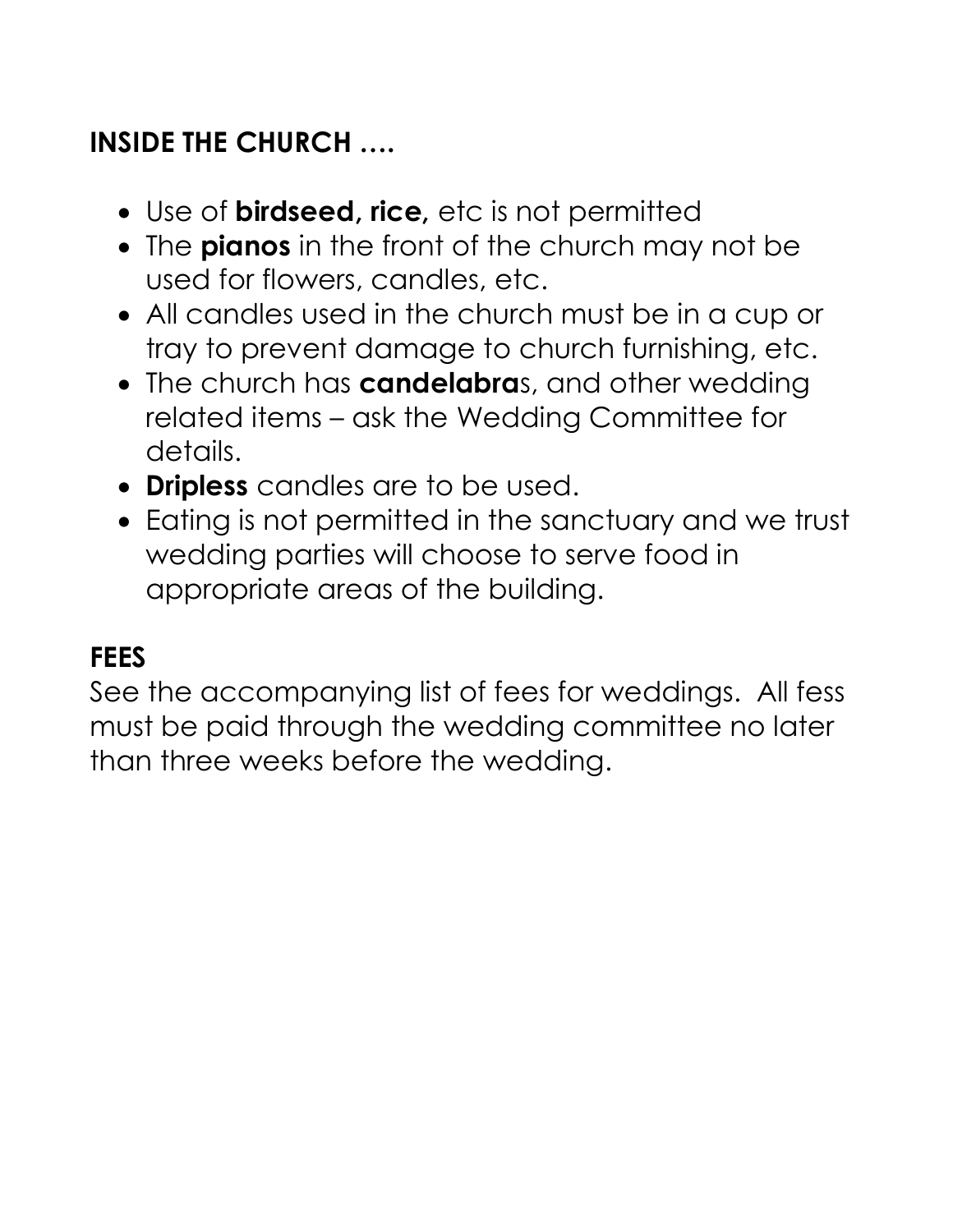## **INSIDE THE CHURCH ….**

- Use of **birdseed, rice,** etc is not permitted
- The **pianos** in the front of the church may not be used for flowers, candles, etc.
- All candles used in the church must be in a cup or tray to prevent damage to church furnishing, etc.
- The church has **candelabra**s, and other wedding related items – ask the Wedding Committee for details.
- **Dripless** candles are to be used.
- Eating is not permitted in the sanctuary and we trust wedding parties will choose to serve food in appropriate areas of the building.

# **FEES**

See the accompanying list of fees for weddings. All fess must be paid through the wedding committee no later than three weeks before the wedding.